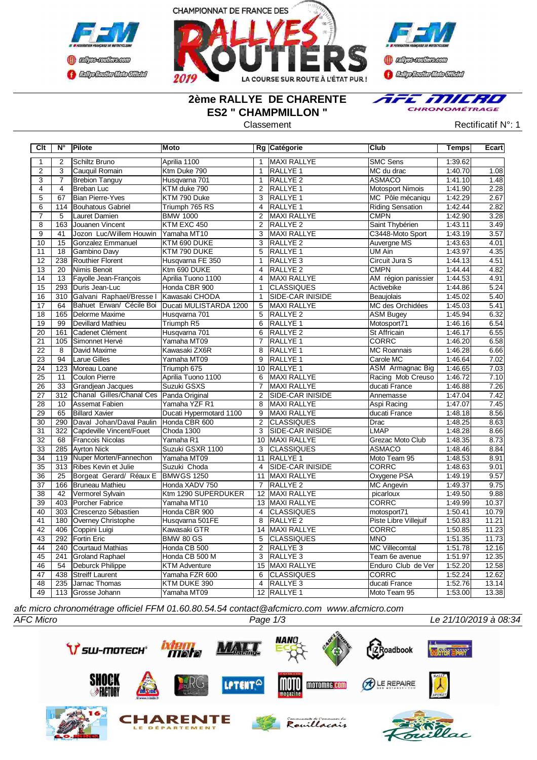



**Confederation CENTRAL MEDICATE** 

## **2ème RALLYE DE CHARENTE ES2 " CHAMPMILLON "**



Classement **Classement** Rectificatif N°: 1

| $\overline{1}$<br>Schiltz Bruno<br>Aprilia 1100<br><b>MAXI RALLYE</b><br><b>SMC Sens</b><br>1:39.62<br>2<br>$\mathbf{1}$<br>$\overline{2}$<br>$\overline{3}$<br><b>RALLYE 1</b><br>MC du drac<br>1:40.70<br>1.08<br>Cauquil Romain<br>Ktm Duke 790<br>$\mathbf{1}$<br>$\overline{3}$<br>1.48<br>$\overline{7}$<br>Husqvarna 701<br>$\mathbf{1}$<br>RALLYE <sub>2</sub><br><b>ASMACO</b><br>1:41.10<br><b>Brebion Tanguy</b><br>2.28<br>4<br>$\overline{4}$<br><b>Breban Luc</b><br>KTM duke 790<br>2<br><b>RALLYE 1</b><br><b>Motosport Nimois</b><br>1:41.90<br>$\overline{5}$<br>67<br><b>Bian Pierre-Yves</b><br>KTM 790 Duke<br><b>RALLYE 1</b><br>MC Pôle mécaniqu<br>1:42.29<br>2.67<br>3<br>2.82<br>$\overline{6}$<br><b>Bouhatous Gabriel</b><br>Triumph 765 RS<br>RALLYE <sub>1</sub><br>1:42.44<br>114<br>$\overline{4}$<br><b>Riding Sensation</b><br>3.28<br>$\overline{7}$<br>5<br><b>BMW 1000</b><br>$\overline{2}$<br>MAXI RALLYE<br><b>CMPN</b><br>1:42.90<br>Lauret Damien<br>$\overline{8}$<br>Saint Thybérien<br>3.49<br>163<br>Jouanen Vincent<br>KTM EXC 450<br>$\overline{2}$<br>RALLYE <sub>2</sub><br>1:43.11<br>3.57<br>$\overline{9}$<br>$\overline{41}$<br>Jozon Luc/Willem Houwin<br>Yamaha MT10<br><b>MAXI RALLYE</b><br>C3448-Moto Sport<br>1:43.19<br>3<br>4.01<br>10<br>15<br><b>RALLYE 2</b><br>Auvergne MS<br>1:43.63<br>Gonzalez Emmanuel<br>KTM 690 DUKE<br>3<br>4.35<br>11<br>$\overline{18}$<br><b>RALLYE 1</b><br>1:43.97<br><b>Gambino Davy</b><br>KTM 790 DUKE<br>5<br>UM Ain<br>12<br>Circuit Jura S<br>1:44.13<br>4.51<br>238<br>Routhier Florent<br>Husqvarna FE 350<br>RALLYE <sub>3</sub><br>$\mathbf{1}$<br><b>RALLYE 2</b><br>4.82<br>13<br>20<br>Nimis Benoit<br>Ktm 690 DUKE<br><b>CMPN</b><br>1:44.44<br>4<br>4.91<br>14<br>Fayolle Jean-François<br><b>MAXI RALLYE</b><br>AM région panissier<br>1:44.53<br>13<br>Aprilia Tuono 1100<br>$\overline{4}$<br>5.24<br>15<br>293<br>Honda CBR 900<br><b>CLASSIQUES</b><br>1:44.86<br>Duris Jean-Luc<br>$\mathbf{1}$<br>Activebike<br>5.40<br>$\overline{16}$<br>Galvani Raphael/Bresse I<br>1:45.02<br>310<br>Kawasaki CHODA<br>SIDE-CAR INISIDE<br>Beaujolais<br>$\mathbf{1}$<br>Bahuet Erwan/ Cécile Boi<br>MC des Orchidées<br>5.41<br>17<br>64<br>Ducati MULISTARDA 1200<br>5<br><b>MAXI RALLYE</b><br>1:45.03<br>6.32<br>18<br>165<br>Delorme Maxime<br>Husqvarna 701<br>5<br>RALLYE <sub>2</sub><br><b>ASM Bugey</b><br>1:45.94<br>6.54<br>19<br>99<br>Devillard Mathieu<br>6<br><b>RALLYE 1</b><br>1:46.16<br>Triumph R5<br>Motosport71<br>20<br>Husqvarna 701<br>RALLYE <sub>2</sub><br>6.55<br>161<br>Cadenet Clément<br>6<br><b>St Affricain</b><br>1:46.17<br>6.58<br>Yamaha MT09<br><b>CORRC</b><br>21<br>105<br>Simonnet Hervé<br>$\overline{7}$<br>RALLYE 1<br>1:46.20<br><b>MC Roannais</b><br>6.66<br>22<br>David Maxime<br>Kawasaki ZX6R<br>RALLYE 1<br>1:46.28<br>8<br>8<br>1:46.64<br>7.02<br>23<br><b>Larue Gilles</b><br>Yamaha MT09<br><b>RALLYE 1</b><br>Carole MC<br>94<br>9<br>7.03<br>Moreau Loane<br><b>ASM</b> Armagnac Big<br>1:46.65<br>24<br>123<br>Triumph 675<br>10 RALLYE 1<br>7.10<br>$\overline{25}$<br><b>Coulon Pierre</b><br>Racing Mob Creuso<br>1:46.72<br>11<br>Aprilia Tuono 1100<br>MAXI RALLYE<br>6<br>7.26<br>26<br>Grandjean Jacques<br>Suzuki GSXS<br>MAXI RALLYE<br>ducati France<br>1:46.88<br>33<br>7<br>7.42<br>Chanal Gilles/Chanal Ces<br>27<br>312<br>Panda Original<br>2<br>SIDE-CAR INISIDE<br>Annemasse<br>1:47.04<br>7.45<br>28<br>Assemat Fabien<br>Yamaha YZF R1<br>1:47.07<br>10<br><b>MAXI RALLYE</b><br>Aspi Racing<br>8<br>8.56<br>$\overline{29}$<br>65<br><b>Billard Xavier</b><br>Ducati Hypermotard 1100<br>9<br>MAXI RALLYE<br>ducati France<br>1:48.18<br>8.63<br>Daval Johan/Daval Paulin<br>$\overline{2}$<br>1:48.25<br>30<br>290<br>Honda CBR 600<br><b>CLASSIQUES</b><br>Drac<br><b>LMAP</b><br>8.66<br>31<br>322<br>Capdeville Vincent/Fouet<br>Choda 1300<br>3<br><b>SIDE-CAR INISIDE</b><br>1:48.28<br>Grezac Moto Club<br>8.73<br>32<br>68<br><b>Francois Nicolas</b><br>Yamaha R1<br>10<br><b>MAXI RALLYE</b><br>1:48.35<br>33<br>Suzuki GSXR 1100<br>$\overline{3}$<br><b>CLASSIQUES</b><br><b>ASMACO</b><br>1:48.46<br>8.84<br>285<br><b>Ayrton Nick</b><br>8.91<br>$\overline{34}$<br>Nuper Morten/Fannechon<br><b>RALLYE 1</b><br>Moto Team 95<br>1:48.53<br>119<br>Yamaha MT09<br>11<br>9.01<br>35<br>313<br>Ribes Kevin et Julie<br>Suzuki Choda<br><b>SIDE-CAR INISIDE</b><br><b>CORRC</b><br>1:48.63<br>$\overline{4}$<br>Oxygene PSA<br>9.57<br>36<br>25<br>Borgeat Gerard/ Réaux E<br><b>BMWGS 1250</b><br>11<br><b>MAXI RALLYE</b><br>1:49.19<br>9.75<br>37<br>166<br><b>Bruneau Mathieu</b><br>Honda XADV 750<br>$\overline{7}$<br><b>RALLYE 2</b><br><b>MC Angevin</b><br>1:49.37<br>9.88<br>$\overline{38}$<br>$\overline{42}$<br>Ktm 1290 SUPERDUKER<br>1:49.50<br>Vermorel Sylvain<br>12<br>MAXI RALLYE<br>picarloux<br><b>CORRC</b><br>Porcher Fabrice<br>1:49.99<br>10.37<br>39<br>403<br>Yamaha MT10<br>13 MAXI RALLYE<br>10.79<br>motosport71<br>1:50.41<br>40<br>303<br>Crescenzo Sébastien<br>Honda CBR 900<br>$\overline{4}$<br><b>CLASSIQUES</b><br>41<br>11.21<br>180<br>Husqvarna 501FE<br>8<br>RALLYE <sub>2</sub><br>Piste Libre Villejuif<br>1:50.83<br>Overney Christophe<br>$\overline{42}$<br>11.23<br>406<br><b>MAXI RALLYE</b><br><b>CORRC</b><br>1:50.85<br>Coppini Luigi<br>Kawasaki GTR<br>14<br>43<br>292<br><b>CLASSIQUES</b><br><b>MNO</b><br>1:51.35<br>11.73<br><b>Fortin Eric</b><br><b>BMW 80 GS</b><br>$\overline{5}$<br>44<br>240<br>Courtaud Mathias<br>$\overline{2}$<br><b>MC Villecomtal</b><br>1:51.78<br>12.16<br>Honda CB 500<br>RALLYE <sub>3</sub><br>45<br>12.35<br>241<br>Honda CB 500 M<br>3<br>RALLYE <sub>3</sub><br>1:51.97<br><b>Groland Raphael</b><br>Team 6e avenue<br>46<br>54<br>Deburck Philippe<br>15<br><b>MAXI RALLYE</b><br>Enduro Club de Ver<br>1:52.20<br>12.58<br><b>KTM Adventure</b><br>47<br>438<br><b>Streiff Laurent</b><br><b>CLASSIQUES</b><br><b>CORRC</b><br>1:52.24<br>12.62<br>Yamaha FZR 600<br>6<br>48<br>235<br>Jarnac Thomas<br>ducati France<br>1:52.76<br>13.14<br>KTM DUKE 390<br>$\overline{4}$<br>RALLYE <sub>3</sub><br>49<br>12 RALLYE 1<br>Moto Team 95<br>1:53.00<br>13.38<br>113 Grosse Johann<br>Yamaha MT09 | Clt | N° | Pilote | <b>Moto</b> | Rg Catégorie | <b>Club</b> | Temps | Ecart |
|----------------------------------------------------------------------------------------------------------------------------------------------------------------------------------------------------------------------------------------------------------------------------------------------------------------------------------------------------------------------------------------------------------------------------------------------------------------------------------------------------------------------------------------------------------------------------------------------------------------------------------------------------------------------------------------------------------------------------------------------------------------------------------------------------------------------------------------------------------------------------------------------------------------------------------------------------------------------------------------------------------------------------------------------------------------------------------------------------------------------------------------------------------------------------------------------------------------------------------------------------------------------------------------------------------------------------------------------------------------------------------------------------------------------------------------------------------------------------------------------------------------------------------------------------------------------------------------------------------------------------------------------------------------------------------------------------------------------------------------------------------------------------------------------------------------------------------------------------------------------------------------------------------------------------------------------------------------------------------------------------------------------------------------------------------------------------------------------------------------------------------------------------------------------------------------------------------------------------------------------------------------------------------------------------------------------------------------------------------------------------------------------------------------------------------------------------------------------------------------------------------------------------------------------------------------------------------------------------------------------------------------------------------------------------------------------------------------------------------------------------------------------------------------------------------------------------------------------------------------------------------------------------------------------------------------------------------------------------------------------------------------------------------------------------------------------------------------------------------------------------------------------------------------------------------------------------------------------------------------------------------------------------------------------------------------------------------------------------------------------------------------------------------------------------------------------------------------------------------------------------------------------------------------------------------------------------------------------------------------------------------------------------------------------------------------------------------------------------------------------------------------------------------------------------------------------------------------------------------------------------------------------------------------------------------------------------------------------------------------------------------------------------------------------------------------------------------------------------------------------------------------------------------------------------------------------------------------------------------------------------------------------------------------------------------------------------------------------------------------------------------------------------------------------------------------------------------------------------------------------------------------------------------------------------------------------------------------------------------------------------------------------------------------------------------------------------------------------------------------------------------------------------------------------------------------------------------------------------------------------------------------------------------------------------------------------------------------------------------------------------------------------------------------------------------------------------------------------------------------------------------------------------------------------------------------------------------------------------------------------------------------------------------------------------------------------------------------------------------------------------------------------------------------------------------------------------------------------------------------------------------------------------------------------------------------------------------------------------------------------------------------------------------------------------------------------------------------------------------------------------------------------------------------------------------------------------------------------------------------------------------------------------------------------------------------------------------------------------------------------------------------------------------------------------------------------------------------------------------------------------------------------------------------------------------------------------------------------------------------------------------------------------------------------------|-----|----|--------|-------------|--------------|-------------|-------|-------|
|                                                                                                                                                                                                                                                                                                                                                                                                                                                                                                                                                                                                                                                                                                                                                                                                                                                                                                                                                                                                                                                                                                                                                                                                                                                                                                                                                                                                                                                                                                                                                                                                                                                                                                                                                                                                                                                                                                                                                                                                                                                                                                                                                                                                                                                                                                                                                                                                                                                                                                                                                                                                                                                                                                                                                                                                                                                                                                                                                                                                                                                                                                                                                                                                                                                                                                                                                                                                                                                                                                                                                                                                                                                                                                                                                                                                                                                                                                                                                                                                                                                                                                                                                                                                                                                                                                                                                                                                                                                                                                                                                                                                                                                                                                                                                                                                                                                                                                                                                                                                                                                                                                                                                                                                                                                                                                                                                                                                                                                                                                                                                                                                                                                                                                                                                                                                                                                                                                                                                                                                                                                                                                                                                                                                                                                                                                    |     |    |        |             |              |             |       |       |
|                                                                                                                                                                                                                                                                                                                                                                                                                                                                                                                                                                                                                                                                                                                                                                                                                                                                                                                                                                                                                                                                                                                                                                                                                                                                                                                                                                                                                                                                                                                                                                                                                                                                                                                                                                                                                                                                                                                                                                                                                                                                                                                                                                                                                                                                                                                                                                                                                                                                                                                                                                                                                                                                                                                                                                                                                                                                                                                                                                                                                                                                                                                                                                                                                                                                                                                                                                                                                                                                                                                                                                                                                                                                                                                                                                                                                                                                                                                                                                                                                                                                                                                                                                                                                                                                                                                                                                                                                                                                                                                                                                                                                                                                                                                                                                                                                                                                                                                                                                                                                                                                                                                                                                                                                                                                                                                                                                                                                                                                                                                                                                                                                                                                                                                                                                                                                                                                                                                                                                                                                                                                                                                                                                                                                                                                                                    |     |    |        |             |              |             |       |       |
|                                                                                                                                                                                                                                                                                                                                                                                                                                                                                                                                                                                                                                                                                                                                                                                                                                                                                                                                                                                                                                                                                                                                                                                                                                                                                                                                                                                                                                                                                                                                                                                                                                                                                                                                                                                                                                                                                                                                                                                                                                                                                                                                                                                                                                                                                                                                                                                                                                                                                                                                                                                                                                                                                                                                                                                                                                                                                                                                                                                                                                                                                                                                                                                                                                                                                                                                                                                                                                                                                                                                                                                                                                                                                                                                                                                                                                                                                                                                                                                                                                                                                                                                                                                                                                                                                                                                                                                                                                                                                                                                                                                                                                                                                                                                                                                                                                                                                                                                                                                                                                                                                                                                                                                                                                                                                                                                                                                                                                                                                                                                                                                                                                                                                                                                                                                                                                                                                                                                                                                                                                                                                                                                                                                                                                                                                                    |     |    |        |             |              |             |       |       |
|                                                                                                                                                                                                                                                                                                                                                                                                                                                                                                                                                                                                                                                                                                                                                                                                                                                                                                                                                                                                                                                                                                                                                                                                                                                                                                                                                                                                                                                                                                                                                                                                                                                                                                                                                                                                                                                                                                                                                                                                                                                                                                                                                                                                                                                                                                                                                                                                                                                                                                                                                                                                                                                                                                                                                                                                                                                                                                                                                                                                                                                                                                                                                                                                                                                                                                                                                                                                                                                                                                                                                                                                                                                                                                                                                                                                                                                                                                                                                                                                                                                                                                                                                                                                                                                                                                                                                                                                                                                                                                                                                                                                                                                                                                                                                                                                                                                                                                                                                                                                                                                                                                                                                                                                                                                                                                                                                                                                                                                                                                                                                                                                                                                                                                                                                                                                                                                                                                                                                                                                                                                                                                                                                                                                                                                                                                    |     |    |        |             |              |             |       |       |
|                                                                                                                                                                                                                                                                                                                                                                                                                                                                                                                                                                                                                                                                                                                                                                                                                                                                                                                                                                                                                                                                                                                                                                                                                                                                                                                                                                                                                                                                                                                                                                                                                                                                                                                                                                                                                                                                                                                                                                                                                                                                                                                                                                                                                                                                                                                                                                                                                                                                                                                                                                                                                                                                                                                                                                                                                                                                                                                                                                                                                                                                                                                                                                                                                                                                                                                                                                                                                                                                                                                                                                                                                                                                                                                                                                                                                                                                                                                                                                                                                                                                                                                                                                                                                                                                                                                                                                                                                                                                                                                                                                                                                                                                                                                                                                                                                                                                                                                                                                                                                                                                                                                                                                                                                                                                                                                                                                                                                                                                                                                                                                                                                                                                                                                                                                                                                                                                                                                                                                                                                                                                                                                                                                                                                                                                                                    |     |    |        |             |              |             |       |       |
|                                                                                                                                                                                                                                                                                                                                                                                                                                                                                                                                                                                                                                                                                                                                                                                                                                                                                                                                                                                                                                                                                                                                                                                                                                                                                                                                                                                                                                                                                                                                                                                                                                                                                                                                                                                                                                                                                                                                                                                                                                                                                                                                                                                                                                                                                                                                                                                                                                                                                                                                                                                                                                                                                                                                                                                                                                                                                                                                                                                                                                                                                                                                                                                                                                                                                                                                                                                                                                                                                                                                                                                                                                                                                                                                                                                                                                                                                                                                                                                                                                                                                                                                                                                                                                                                                                                                                                                                                                                                                                                                                                                                                                                                                                                                                                                                                                                                                                                                                                                                                                                                                                                                                                                                                                                                                                                                                                                                                                                                                                                                                                                                                                                                                                                                                                                                                                                                                                                                                                                                                                                                                                                                                                                                                                                                                                    |     |    |        |             |              |             |       |       |
|                                                                                                                                                                                                                                                                                                                                                                                                                                                                                                                                                                                                                                                                                                                                                                                                                                                                                                                                                                                                                                                                                                                                                                                                                                                                                                                                                                                                                                                                                                                                                                                                                                                                                                                                                                                                                                                                                                                                                                                                                                                                                                                                                                                                                                                                                                                                                                                                                                                                                                                                                                                                                                                                                                                                                                                                                                                                                                                                                                                                                                                                                                                                                                                                                                                                                                                                                                                                                                                                                                                                                                                                                                                                                                                                                                                                                                                                                                                                                                                                                                                                                                                                                                                                                                                                                                                                                                                                                                                                                                                                                                                                                                                                                                                                                                                                                                                                                                                                                                                                                                                                                                                                                                                                                                                                                                                                                                                                                                                                                                                                                                                                                                                                                                                                                                                                                                                                                                                                                                                                                                                                                                                                                                                                                                                                                                    |     |    |        |             |              |             |       |       |
|                                                                                                                                                                                                                                                                                                                                                                                                                                                                                                                                                                                                                                                                                                                                                                                                                                                                                                                                                                                                                                                                                                                                                                                                                                                                                                                                                                                                                                                                                                                                                                                                                                                                                                                                                                                                                                                                                                                                                                                                                                                                                                                                                                                                                                                                                                                                                                                                                                                                                                                                                                                                                                                                                                                                                                                                                                                                                                                                                                                                                                                                                                                                                                                                                                                                                                                                                                                                                                                                                                                                                                                                                                                                                                                                                                                                                                                                                                                                                                                                                                                                                                                                                                                                                                                                                                                                                                                                                                                                                                                                                                                                                                                                                                                                                                                                                                                                                                                                                                                                                                                                                                                                                                                                                                                                                                                                                                                                                                                                                                                                                                                                                                                                                                                                                                                                                                                                                                                                                                                                                                                                                                                                                                                                                                                                                                    |     |    |        |             |              |             |       |       |
|                                                                                                                                                                                                                                                                                                                                                                                                                                                                                                                                                                                                                                                                                                                                                                                                                                                                                                                                                                                                                                                                                                                                                                                                                                                                                                                                                                                                                                                                                                                                                                                                                                                                                                                                                                                                                                                                                                                                                                                                                                                                                                                                                                                                                                                                                                                                                                                                                                                                                                                                                                                                                                                                                                                                                                                                                                                                                                                                                                                                                                                                                                                                                                                                                                                                                                                                                                                                                                                                                                                                                                                                                                                                                                                                                                                                                                                                                                                                                                                                                                                                                                                                                                                                                                                                                                                                                                                                                                                                                                                                                                                                                                                                                                                                                                                                                                                                                                                                                                                                                                                                                                                                                                                                                                                                                                                                                                                                                                                                                                                                                                                                                                                                                                                                                                                                                                                                                                                                                                                                                                                                                                                                                                                                                                                                                                    |     |    |        |             |              |             |       |       |
|                                                                                                                                                                                                                                                                                                                                                                                                                                                                                                                                                                                                                                                                                                                                                                                                                                                                                                                                                                                                                                                                                                                                                                                                                                                                                                                                                                                                                                                                                                                                                                                                                                                                                                                                                                                                                                                                                                                                                                                                                                                                                                                                                                                                                                                                                                                                                                                                                                                                                                                                                                                                                                                                                                                                                                                                                                                                                                                                                                                                                                                                                                                                                                                                                                                                                                                                                                                                                                                                                                                                                                                                                                                                                                                                                                                                                                                                                                                                                                                                                                                                                                                                                                                                                                                                                                                                                                                                                                                                                                                                                                                                                                                                                                                                                                                                                                                                                                                                                                                                                                                                                                                                                                                                                                                                                                                                                                                                                                                                                                                                                                                                                                                                                                                                                                                                                                                                                                                                                                                                                                                                                                                                                                                                                                                                                                    |     |    |        |             |              |             |       |       |
|                                                                                                                                                                                                                                                                                                                                                                                                                                                                                                                                                                                                                                                                                                                                                                                                                                                                                                                                                                                                                                                                                                                                                                                                                                                                                                                                                                                                                                                                                                                                                                                                                                                                                                                                                                                                                                                                                                                                                                                                                                                                                                                                                                                                                                                                                                                                                                                                                                                                                                                                                                                                                                                                                                                                                                                                                                                                                                                                                                                                                                                                                                                                                                                                                                                                                                                                                                                                                                                                                                                                                                                                                                                                                                                                                                                                                                                                                                                                                                                                                                                                                                                                                                                                                                                                                                                                                                                                                                                                                                                                                                                                                                                                                                                                                                                                                                                                                                                                                                                                                                                                                                                                                                                                                                                                                                                                                                                                                                                                                                                                                                                                                                                                                                                                                                                                                                                                                                                                                                                                                                                                                                                                                                                                                                                                                                    |     |    |        |             |              |             |       |       |
|                                                                                                                                                                                                                                                                                                                                                                                                                                                                                                                                                                                                                                                                                                                                                                                                                                                                                                                                                                                                                                                                                                                                                                                                                                                                                                                                                                                                                                                                                                                                                                                                                                                                                                                                                                                                                                                                                                                                                                                                                                                                                                                                                                                                                                                                                                                                                                                                                                                                                                                                                                                                                                                                                                                                                                                                                                                                                                                                                                                                                                                                                                                                                                                                                                                                                                                                                                                                                                                                                                                                                                                                                                                                                                                                                                                                                                                                                                                                                                                                                                                                                                                                                                                                                                                                                                                                                                                                                                                                                                                                                                                                                                                                                                                                                                                                                                                                                                                                                                                                                                                                                                                                                                                                                                                                                                                                                                                                                                                                                                                                                                                                                                                                                                                                                                                                                                                                                                                                                                                                                                                                                                                                                                                                                                                                                                    |     |    |        |             |              |             |       |       |
|                                                                                                                                                                                                                                                                                                                                                                                                                                                                                                                                                                                                                                                                                                                                                                                                                                                                                                                                                                                                                                                                                                                                                                                                                                                                                                                                                                                                                                                                                                                                                                                                                                                                                                                                                                                                                                                                                                                                                                                                                                                                                                                                                                                                                                                                                                                                                                                                                                                                                                                                                                                                                                                                                                                                                                                                                                                                                                                                                                                                                                                                                                                                                                                                                                                                                                                                                                                                                                                                                                                                                                                                                                                                                                                                                                                                                                                                                                                                                                                                                                                                                                                                                                                                                                                                                                                                                                                                                                                                                                                                                                                                                                                                                                                                                                                                                                                                                                                                                                                                                                                                                                                                                                                                                                                                                                                                                                                                                                                                                                                                                                                                                                                                                                                                                                                                                                                                                                                                                                                                                                                                                                                                                                                                                                                                                                    |     |    |        |             |              |             |       |       |
|                                                                                                                                                                                                                                                                                                                                                                                                                                                                                                                                                                                                                                                                                                                                                                                                                                                                                                                                                                                                                                                                                                                                                                                                                                                                                                                                                                                                                                                                                                                                                                                                                                                                                                                                                                                                                                                                                                                                                                                                                                                                                                                                                                                                                                                                                                                                                                                                                                                                                                                                                                                                                                                                                                                                                                                                                                                                                                                                                                                                                                                                                                                                                                                                                                                                                                                                                                                                                                                                                                                                                                                                                                                                                                                                                                                                                                                                                                                                                                                                                                                                                                                                                                                                                                                                                                                                                                                                                                                                                                                                                                                                                                                                                                                                                                                                                                                                                                                                                                                                                                                                                                                                                                                                                                                                                                                                                                                                                                                                                                                                                                                                                                                                                                                                                                                                                                                                                                                                                                                                                                                                                                                                                                                                                                                                                                    |     |    |        |             |              |             |       |       |
|                                                                                                                                                                                                                                                                                                                                                                                                                                                                                                                                                                                                                                                                                                                                                                                                                                                                                                                                                                                                                                                                                                                                                                                                                                                                                                                                                                                                                                                                                                                                                                                                                                                                                                                                                                                                                                                                                                                                                                                                                                                                                                                                                                                                                                                                                                                                                                                                                                                                                                                                                                                                                                                                                                                                                                                                                                                                                                                                                                                                                                                                                                                                                                                                                                                                                                                                                                                                                                                                                                                                                                                                                                                                                                                                                                                                                                                                                                                                                                                                                                                                                                                                                                                                                                                                                                                                                                                                                                                                                                                                                                                                                                                                                                                                                                                                                                                                                                                                                                                                                                                                                                                                                                                                                                                                                                                                                                                                                                                                                                                                                                                                                                                                                                                                                                                                                                                                                                                                                                                                                                                                                                                                                                                                                                                                                                    |     |    |        |             |              |             |       |       |
|                                                                                                                                                                                                                                                                                                                                                                                                                                                                                                                                                                                                                                                                                                                                                                                                                                                                                                                                                                                                                                                                                                                                                                                                                                                                                                                                                                                                                                                                                                                                                                                                                                                                                                                                                                                                                                                                                                                                                                                                                                                                                                                                                                                                                                                                                                                                                                                                                                                                                                                                                                                                                                                                                                                                                                                                                                                                                                                                                                                                                                                                                                                                                                                                                                                                                                                                                                                                                                                                                                                                                                                                                                                                                                                                                                                                                                                                                                                                                                                                                                                                                                                                                                                                                                                                                                                                                                                                                                                                                                                                                                                                                                                                                                                                                                                                                                                                                                                                                                                                                                                                                                                                                                                                                                                                                                                                                                                                                                                                                                                                                                                                                                                                                                                                                                                                                                                                                                                                                                                                                                                                                                                                                                                                                                                                                                    |     |    |        |             |              |             |       |       |
|                                                                                                                                                                                                                                                                                                                                                                                                                                                                                                                                                                                                                                                                                                                                                                                                                                                                                                                                                                                                                                                                                                                                                                                                                                                                                                                                                                                                                                                                                                                                                                                                                                                                                                                                                                                                                                                                                                                                                                                                                                                                                                                                                                                                                                                                                                                                                                                                                                                                                                                                                                                                                                                                                                                                                                                                                                                                                                                                                                                                                                                                                                                                                                                                                                                                                                                                                                                                                                                                                                                                                                                                                                                                                                                                                                                                                                                                                                                                                                                                                                                                                                                                                                                                                                                                                                                                                                                                                                                                                                                                                                                                                                                                                                                                                                                                                                                                                                                                                                                                                                                                                                                                                                                                                                                                                                                                                                                                                                                                                                                                                                                                                                                                                                                                                                                                                                                                                                                                                                                                                                                                                                                                                                                                                                                                                                    |     |    |        |             |              |             |       |       |
|                                                                                                                                                                                                                                                                                                                                                                                                                                                                                                                                                                                                                                                                                                                                                                                                                                                                                                                                                                                                                                                                                                                                                                                                                                                                                                                                                                                                                                                                                                                                                                                                                                                                                                                                                                                                                                                                                                                                                                                                                                                                                                                                                                                                                                                                                                                                                                                                                                                                                                                                                                                                                                                                                                                                                                                                                                                                                                                                                                                                                                                                                                                                                                                                                                                                                                                                                                                                                                                                                                                                                                                                                                                                                                                                                                                                                                                                                                                                                                                                                                                                                                                                                                                                                                                                                                                                                                                                                                                                                                                                                                                                                                                                                                                                                                                                                                                                                                                                                                                                                                                                                                                                                                                                                                                                                                                                                                                                                                                                                                                                                                                                                                                                                                                                                                                                                                                                                                                                                                                                                                                                                                                                                                                                                                                                                                    |     |    |        |             |              |             |       |       |
|                                                                                                                                                                                                                                                                                                                                                                                                                                                                                                                                                                                                                                                                                                                                                                                                                                                                                                                                                                                                                                                                                                                                                                                                                                                                                                                                                                                                                                                                                                                                                                                                                                                                                                                                                                                                                                                                                                                                                                                                                                                                                                                                                                                                                                                                                                                                                                                                                                                                                                                                                                                                                                                                                                                                                                                                                                                                                                                                                                                                                                                                                                                                                                                                                                                                                                                                                                                                                                                                                                                                                                                                                                                                                                                                                                                                                                                                                                                                                                                                                                                                                                                                                                                                                                                                                                                                                                                                                                                                                                                                                                                                                                                                                                                                                                                                                                                                                                                                                                                                                                                                                                                                                                                                                                                                                                                                                                                                                                                                                                                                                                                                                                                                                                                                                                                                                                                                                                                                                                                                                                                                                                                                                                                                                                                                                                    |     |    |        |             |              |             |       |       |
|                                                                                                                                                                                                                                                                                                                                                                                                                                                                                                                                                                                                                                                                                                                                                                                                                                                                                                                                                                                                                                                                                                                                                                                                                                                                                                                                                                                                                                                                                                                                                                                                                                                                                                                                                                                                                                                                                                                                                                                                                                                                                                                                                                                                                                                                                                                                                                                                                                                                                                                                                                                                                                                                                                                                                                                                                                                                                                                                                                                                                                                                                                                                                                                                                                                                                                                                                                                                                                                                                                                                                                                                                                                                                                                                                                                                                                                                                                                                                                                                                                                                                                                                                                                                                                                                                                                                                                                                                                                                                                                                                                                                                                                                                                                                                                                                                                                                                                                                                                                                                                                                                                                                                                                                                                                                                                                                                                                                                                                                                                                                                                                                                                                                                                                                                                                                                                                                                                                                                                                                                                                                                                                                                                                                                                                                                                    |     |    |        |             |              |             |       |       |
|                                                                                                                                                                                                                                                                                                                                                                                                                                                                                                                                                                                                                                                                                                                                                                                                                                                                                                                                                                                                                                                                                                                                                                                                                                                                                                                                                                                                                                                                                                                                                                                                                                                                                                                                                                                                                                                                                                                                                                                                                                                                                                                                                                                                                                                                                                                                                                                                                                                                                                                                                                                                                                                                                                                                                                                                                                                                                                                                                                                                                                                                                                                                                                                                                                                                                                                                                                                                                                                                                                                                                                                                                                                                                                                                                                                                                                                                                                                                                                                                                                                                                                                                                                                                                                                                                                                                                                                                                                                                                                                                                                                                                                                                                                                                                                                                                                                                                                                                                                                                                                                                                                                                                                                                                                                                                                                                                                                                                                                                                                                                                                                                                                                                                                                                                                                                                                                                                                                                                                                                                                                                                                                                                                                                                                                                                                    |     |    |        |             |              |             |       |       |
|                                                                                                                                                                                                                                                                                                                                                                                                                                                                                                                                                                                                                                                                                                                                                                                                                                                                                                                                                                                                                                                                                                                                                                                                                                                                                                                                                                                                                                                                                                                                                                                                                                                                                                                                                                                                                                                                                                                                                                                                                                                                                                                                                                                                                                                                                                                                                                                                                                                                                                                                                                                                                                                                                                                                                                                                                                                                                                                                                                                                                                                                                                                                                                                                                                                                                                                                                                                                                                                                                                                                                                                                                                                                                                                                                                                                                                                                                                                                                                                                                                                                                                                                                                                                                                                                                                                                                                                                                                                                                                                                                                                                                                                                                                                                                                                                                                                                                                                                                                                                                                                                                                                                                                                                                                                                                                                                                                                                                                                                                                                                                                                                                                                                                                                                                                                                                                                                                                                                                                                                                                                                                                                                                                                                                                                                                                    |     |    |        |             |              |             |       |       |
|                                                                                                                                                                                                                                                                                                                                                                                                                                                                                                                                                                                                                                                                                                                                                                                                                                                                                                                                                                                                                                                                                                                                                                                                                                                                                                                                                                                                                                                                                                                                                                                                                                                                                                                                                                                                                                                                                                                                                                                                                                                                                                                                                                                                                                                                                                                                                                                                                                                                                                                                                                                                                                                                                                                                                                                                                                                                                                                                                                                                                                                                                                                                                                                                                                                                                                                                                                                                                                                                                                                                                                                                                                                                                                                                                                                                                                                                                                                                                                                                                                                                                                                                                                                                                                                                                                                                                                                                                                                                                                                                                                                                                                                                                                                                                                                                                                                                                                                                                                                                                                                                                                                                                                                                                                                                                                                                                                                                                                                                                                                                                                                                                                                                                                                                                                                                                                                                                                                                                                                                                                                                                                                                                                                                                                                                                                    |     |    |        |             |              |             |       |       |
|                                                                                                                                                                                                                                                                                                                                                                                                                                                                                                                                                                                                                                                                                                                                                                                                                                                                                                                                                                                                                                                                                                                                                                                                                                                                                                                                                                                                                                                                                                                                                                                                                                                                                                                                                                                                                                                                                                                                                                                                                                                                                                                                                                                                                                                                                                                                                                                                                                                                                                                                                                                                                                                                                                                                                                                                                                                                                                                                                                                                                                                                                                                                                                                                                                                                                                                                                                                                                                                                                                                                                                                                                                                                                                                                                                                                                                                                                                                                                                                                                                                                                                                                                                                                                                                                                                                                                                                                                                                                                                                                                                                                                                                                                                                                                                                                                                                                                                                                                                                                                                                                                                                                                                                                                                                                                                                                                                                                                                                                                                                                                                                                                                                                                                                                                                                                                                                                                                                                                                                                                                                                                                                                                                                                                                                                                                    |     |    |        |             |              |             |       |       |
|                                                                                                                                                                                                                                                                                                                                                                                                                                                                                                                                                                                                                                                                                                                                                                                                                                                                                                                                                                                                                                                                                                                                                                                                                                                                                                                                                                                                                                                                                                                                                                                                                                                                                                                                                                                                                                                                                                                                                                                                                                                                                                                                                                                                                                                                                                                                                                                                                                                                                                                                                                                                                                                                                                                                                                                                                                                                                                                                                                                                                                                                                                                                                                                                                                                                                                                                                                                                                                                                                                                                                                                                                                                                                                                                                                                                                                                                                                                                                                                                                                                                                                                                                                                                                                                                                                                                                                                                                                                                                                                                                                                                                                                                                                                                                                                                                                                                                                                                                                                                                                                                                                                                                                                                                                                                                                                                                                                                                                                                                                                                                                                                                                                                                                                                                                                                                                                                                                                                                                                                                                                                                                                                                                                                                                                                                                    |     |    |        |             |              |             |       |       |
|                                                                                                                                                                                                                                                                                                                                                                                                                                                                                                                                                                                                                                                                                                                                                                                                                                                                                                                                                                                                                                                                                                                                                                                                                                                                                                                                                                                                                                                                                                                                                                                                                                                                                                                                                                                                                                                                                                                                                                                                                                                                                                                                                                                                                                                                                                                                                                                                                                                                                                                                                                                                                                                                                                                                                                                                                                                                                                                                                                                                                                                                                                                                                                                                                                                                                                                                                                                                                                                                                                                                                                                                                                                                                                                                                                                                                                                                                                                                                                                                                                                                                                                                                                                                                                                                                                                                                                                                                                                                                                                                                                                                                                                                                                                                                                                                                                                                                                                                                                                                                                                                                                                                                                                                                                                                                                                                                                                                                                                                                                                                                                                                                                                                                                                                                                                                                                                                                                                                                                                                                                                                                                                                                                                                                                                                                                    |     |    |        |             |              |             |       |       |
|                                                                                                                                                                                                                                                                                                                                                                                                                                                                                                                                                                                                                                                                                                                                                                                                                                                                                                                                                                                                                                                                                                                                                                                                                                                                                                                                                                                                                                                                                                                                                                                                                                                                                                                                                                                                                                                                                                                                                                                                                                                                                                                                                                                                                                                                                                                                                                                                                                                                                                                                                                                                                                                                                                                                                                                                                                                                                                                                                                                                                                                                                                                                                                                                                                                                                                                                                                                                                                                                                                                                                                                                                                                                                                                                                                                                                                                                                                                                                                                                                                                                                                                                                                                                                                                                                                                                                                                                                                                                                                                                                                                                                                                                                                                                                                                                                                                                                                                                                                                                                                                                                                                                                                                                                                                                                                                                                                                                                                                                                                                                                                                                                                                                                                                                                                                                                                                                                                                                                                                                                                                                                                                                                                                                                                                                                                    |     |    |        |             |              |             |       |       |
|                                                                                                                                                                                                                                                                                                                                                                                                                                                                                                                                                                                                                                                                                                                                                                                                                                                                                                                                                                                                                                                                                                                                                                                                                                                                                                                                                                                                                                                                                                                                                                                                                                                                                                                                                                                                                                                                                                                                                                                                                                                                                                                                                                                                                                                                                                                                                                                                                                                                                                                                                                                                                                                                                                                                                                                                                                                                                                                                                                                                                                                                                                                                                                                                                                                                                                                                                                                                                                                                                                                                                                                                                                                                                                                                                                                                                                                                                                                                                                                                                                                                                                                                                                                                                                                                                                                                                                                                                                                                                                                                                                                                                                                                                                                                                                                                                                                                                                                                                                                                                                                                                                                                                                                                                                                                                                                                                                                                                                                                                                                                                                                                                                                                                                                                                                                                                                                                                                                                                                                                                                                                                                                                                                                                                                                                                                    |     |    |        |             |              |             |       |       |
|                                                                                                                                                                                                                                                                                                                                                                                                                                                                                                                                                                                                                                                                                                                                                                                                                                                                                                                                                                                                                                                                                                                                                                                                                                                                                                                                                                                                                                                                                                                                                                                                                                                                                                                                                                                                                                                                                                                                                                                                                                                                                                                                                                                                                                                                                                                                                                                                                                                                                                                                                                                                                                                                                                                                                                                                                                                                                                                                                                                                                                                                                                                                                                                                                                                                                                                                                                                                                                                                                                                                                                                                                                                                                                                                                                                                                                                                                                                                                                                                                                                                                                                                                                                                                                                                                                                                                                                                                                                                                                                                                                                                                                                                                                                                                                                                                                                                                                                                                                                                                                                                                                                                                                                                                                                                                                                                                                                                                                                                                                                                                                                                                                                                                                                                                                                                                                                                                                                                                                                                                                                                                                                                                                                                                                                                                                    |     |    |        |             |              |             |       |       |
|                                                                                                                                                                                                                                                                                                                                                                                                                                                                                                                                                                                                                                                                                                                                                                                                                                                                                                                                                                                                                                                                                                                                                                                                                                                                                                                                                                                                                                                                                                                                                                                                                                                                                                                                                                                                                                                                                                                                                                                                                                                                                                                                                                                                                                                                                                                                                                                                                                                                                                                                                                                                                                                                                                                                                                                                                                                                                                                                                                                                                                                                                                                                                                                                                                                                                                                                                                                                                                                                                                                                                                                                                                                                                                                                                                                                                                                                                                                                                                                                                                                                                                                                                                                                                                                                                                                                                                                                                                                                                                                                                                                                                                                                                                                                                                                                                                                                                                                                                                                                                                                                                                                                                                                                                                                                                                                                                                                                                                                                                                                                                                                                                                                                                                                                                                                                                                                                                                                                                                                                                                                                                                                                                                                                                                                                                                    |     |    |        |             |              |             |       |       |
|                                                                                                                                                                                                                                                                                                                                                                                                                                                                                                                                                                                                                                                                                                                                                                                                                                                                                                                                                                                                                                                                                                                                                                                                                                                                                                                                                                                                                                                                                                                                                                                                                                                                                                                                                                                                                                                                                                                                                                                                                                                                                                                                                                                                                                                                                                                                                                                                                                                                                                                                                                                                                                                                                                                                                                                                                                                                                                                                                                                                                                                                                                                                                                                                                                                                                                                                                                                                                                                                                                                                                                                                                                                                                                                                                                                                                                                                                                                                                                                                                                                                                                                                                                                                                                                                                                                                                                                                                                                                                                                                                                                                                                                                                                                                                                                                                                                                                                                                                                                                                                                                                                                                                                                                                                                                                                                                                                                                                                                                                                                                                                                                                                                                                                                                                                                                                                                                                                                                                                                                                                                                                                                                                                                                                                                                                                    |     |    |        |             |              |             |       |       |
|                                                                                                                                                                                                                                                                                                                                                                                                                                                                                                                                                                                                                                                                                                                                                                                                                                                                                                                                                                                                                                                                                                                                                                                                                                                                                                                                                                                                                                                                                                                                                                                                                                                                                                                                                                                                                                                                                                                                                                                                                                                                                                                                                                                                                                                                                                                                                                                                                                                                                                                                                                                                                                                                                                                                                                                                                                                                                                                                                                                                                                                                                                                                                                                                                                                                                                                                                                                                                                                                                                                                                                                                                                                                                                                                                                                                                                                                                                                                                                                                                                                                                                                                                                                                                                                                                                                                                                                                                                                                                                                                                                                                                                                                                                                                                                                                                                                                                                                                                                                                                                                                                                                                                                                                                                                                                                                                                                                                                                                                                                                                                                                                                                                                                                                                                                                                                                                                                                                                                                                                                                                                                                                                                                                                                                                                                                    |     |    |        |             |              |             |       |       |
|                                                                                                                                                                                                                                                                                                                                                                                                                                                                                                                                                                                                                                                                                                                                                                                                                                                                                                                                                                                                                                                                                                                                                                                                                                                                                                                                                                                                                                                                                                                                                                                                                                                                                                                                                                                                                                                                                                                                                                                                                                                                                                                                                                                                                                                                                                                                                                                                                                                                                                                                                                                                                                                                                                                                                                                                                                                                                                                                                                                                                                                                                                                                                                                                                                                                                                                                                                                                                                                                                                                                                                                                                                                                                                                                                                                                                                                                                                                                                                                                                                                                                                                                                                                                                                                                                                                                                                                                                                                                                                                                                                                                                                                                                                                                                                                                                                                                                                                                                                                                                                                                                                                                                                                                                                                                                                                                                                                                                                                                                                                                                                                                                                                                                                                                                                                                                                                                                                                                                                                                                                                                                                                                                                                                                                                                                                    |     |    |        |             |              |             |       |       |
|                                                                                                                                                                                                                                                                                                                                                                                                                                                                                                                                                                                                                                                                                                                                                                                                                                                                                                                                                                                                                                                                                                                                                                                                                                                                                                                                                                                                                                                                                                                                                                                                                                                                                                                                                                                                                                                                                                                                                                                                                                                                                                                                                                                                                                                                                                                                                                                                                                                                                                                                                                                                                                                                                                                                                                                                                                                                                                                                                                                                                                                                                                                                                                                                                                                                                                                                                                                                                                                                                                                                                                                                                                                                                                                                                                                                                                                                                                                                                                                                                                                                                                                                                                                                                                                                                                                                                                                                                                                                                                                                                                                                                                                                                                                                                                                                                                                                                                                                                                                                                                                                                                                                                                                                                                                                                                                                                                                                                                                                                                                                                                                                                                                                                                                                                                                                                                                                                                                                                                                                                                                                                                                                                                                                                                                                                                    |     |    |        |             |              |             |       |       |
|                                                                                                                                                                                                                                                                                                                                                                                                                                                                                                                                                                                                                                                                                                                                                                                                                                                                                                                                                                                                                                                                                                                                                                                                                                                                                                                                                                                                                                                                                                                                                                                                                                                                                                                                                                                                                                                                                                                                                                                                                                                                                                                                                                                                                                                                                                                                                                                                                                                                                                                                                                                                                                                                                                                                                                                                                                                                                                                                                                                                                                                                                                                                                                                                                                                                                                                                                                                                                                                                                                                                                                                                                                                                                                                                                                                                                                                                                                                                                                                                                                                                                                                                                                                                                                                                                                                                                                                                                                                                                                                                                                                                                                                                                                                                                                                                                                                                                                                                                                                                                                                                                                                                                                                                                                                                                                                                                                                                                                                                                                                                                                                                                                                                                                                                                                                                                                                                                                                                                                                                                                                                                                                                                                                                                                                                                                    |     |    |        |             |              |             |       |       |
|                                                                                                                                                                                                                                                                                                                                                                                                                                                                                                                                                                                                                                                                                                                                                                                                                                                                                                                                                                                                                                                                                                                                                                                                                                                                                                                                                                                                                                                                                                                                                                                                                                                                                                                                                                                                                                                                                                                                                                                                                                                                                                                                                                                                                                                                                                                                                                                                                                                                                                                                                                                                                                                                                                                                                                                                                                                                                                                                                                                                                                                                                                                                                                                                                                                                                                                                                                                                                                                                                                                                                                                                                                                                                                                                                                                                                                                                                                                                                                                                                                                                                                                                                                                                                                                                                                                                                                                                                                                                                                                                                                                                                                                                                                                                                                                                                                                                                                                                                                                                                                                                                                                                                                                                                                                                                                                                                                                                                                                                                                                                                                                                                                                                                                                                                                                                                                                                                                                                                                                                                                                                                                                                                                                                                                                                                                    |     |    |        |             |              |             |       |       |
|                                                                                                                                                                                                                                                                                                                                                                                                                                                                                                                                                                                                                                                                                                                                                                                                                                                                                                                                                                                                                                                                                                                                                                                                                                                                                                                                                                                                                                                                                                                                                                                                                                                                                                                                                                                                                                                                                                                                                                                                                                                                                                                                                                                                                                                                                                                                                                                                                                                                                                                                                                                                                                                                                                                                                                                                                                                                                                                                                                                                                                                                                                                                                                                                                                                                                                                                                                                                                                                                                                                                                                                                                                                                                                                                                                                                                                                                                                                                                                                                                                                                                                                                                                                                                                                                                                                                                                                                                                                                                                                                                                                                                                                                                                                                                                                                                                                                                                                                                                                                                                                                                                                                                                                                                                                                                                                                                                                                                                                                                                                                                                                                                                                                                                                                                                                                                                                                                                                                                                                                                                                                                                                                                                                                                                                                                                    |     |    |        |             |              |             |       |       |
|                                                                                                                                                                                                                                                                                                                                                                                                                                                                                                                                                                                                                                                                                                                                                                                                                                                                                                                                                                                                                                                                                                                                                                                                                                                                                                                                                                                                                                                                                                                                                                                                                                                                                                                                                                                                                                                                                                                                                                                                                                                                                                                                                                                                                                                                                                                                                                                                                                                                                                                                                                                                                                                                                                                                                                                                                                                                                                                                                                                                                                                                                                                                                                                                                                                                                                                                                                                                                                                                                                                                                                                                                                                                                                                                                                                                                                                                                                                                                                                                                                                                                                                                                                                                                                                                                                                                                                                                                                                                                                                                                                                                                                                                                                                                                                                                                                                                                                                                                                                                                                                                                                                                                                                                                                                                                                                                                                                                                                                                                                                                                                                                                                                                                                                                                                                                                                                                                                                                                                                                                                                                                                                                                                                                                                                                                                    |     |    |        |             |              |             |       |       |
|                                                                                                                                                                                                                                                                                                                                                                                                                                                                                                                                                                                                                                                                                                                                                                                                                                                                                                                                                                                                                                                                                                                                                                                                                                                                                                                                                                                                                                                                                                                                                                                                                                                                                                                                                                                                                                                                                                                                                                                                                                                                                                                                                                                                                                                                                                                                                                                                                                                                                                                                                                                                                                                                                                                                                                                                                                                                                                                                                                                                                                                                                                                                                                                                                                                                                                                                                                                                                                                                                                                                                                                                                                                                                                                                                                                                                                                                                                                                                                                                                                                                                                                                                                                                                                                                                                                                                                                                                                                                                                                                                                                                                                                                                                                                                                                                                                                                                                                                                                                                                                                                                                                                                                                                                                                                                                                                                                                                                                                                                                                                                                                                                                                                                                                                                                                                                                                                                                                                                                                                                                                                                                                                                                                                                                                                                                    |     |    |        |             |              |             |       |       |
|                                                                                                                                                                                                                                                                                                                                                                                                                                                                                                                                                                                                                                                                                                                                                                                                                                                                                                                                                                                                                                                                                                                                                                                                                                                                                                                                                                                                                                                                                                                                                                                                                                                                                                                                                                                                                                                                                                                                                                                                                                                                                                                                                                                                                                                                                                                                                                                                                                                                                                                                                                                                                                                                                                                                                                                                                                                                                                                                                                                                                                                                                                                                                                                                                                                                                                                                                                                                                                                                                                                                                                                                                                                                                                                                                                                                                                                                                                                                                                                                                                                                                                                                                                                                                                                                                                                                                                                                                                                                                                                                                                                                                                                                                                                                                                                                                                                                                                                                                                                                                                                                                                                                                                                                                                                                                                                                                                                                                                                                                                                                                                                                                                                                                                                                                                                                                                                                                                                                                                                                                                                                                                                                                                                                                                                                                                    |     |    |        |             |              |             |       |       |
|                                                                                                                                                                                                                                                                                                                                                                                                                                                                                                                                                                                                                                                                                                                                                                                                                                                                                                                                                                                                                                                                                                                                                                                                                                                                                                                                                                                                                                                                                                                                                                                                                                                                                                                                                                                                                                                                                                                                                                                                                                                                                                                                                                                                                                                                                                                                                                                                                                                                                                                                                                                                                                                                                                                                                                                                                                                                                                                                                                                                                                                                                                                                                                                                                                                                                                                                                                                                                                                                                                                                                                                                                                                                                                                                                                                                                                                                                                                                                                                                                                                                                                                                                                                                                                                                                                                                                                                                                                                                                                                                                                                                                                                                                                                                                                                                                                                                                                                                                                                                                                                                                                                                                                                                                                                                                                                                                                                                                                                                                                                                                                                                                                                                                                                                                                                                                                                                                                                                                                                                                                                                                                                                                                                                                                                                                                    |     |    |        |             |              |             |       |       |
|                                                                                                                                                                                                                                                                                                                                                                                                                                                                                                                                                                                                                                                                                                                                                                                                                                                                                                                                                                                                                                                                                                                                                                                                                                                                                                                                                                                                                                                                                                                                                                                                                                                                                                                                                                                                                                                                                                                                                                                                                                                                                                                                                                                                                                                                                                                                                                                                                                                                                                                                                                                                                                                                                                                                                                                                                                                                                                                                                                                                                                                                                                                                                                                                                                                                                                                                                                                                                                                                                                                                                                                                                                                                                                                                                                                                                                                                                                                                                                                                                                                                                                                                                                                                                                                                                                                                                                                                                                                                                                                                                                                                                                                                                                                                                                                                                                                                                                                                                                                                                                                                                                                                                                                                                                                                                                                                                                                                                                                                                                                                                                                                                                                                                                                                                                                                                                                                                                                                                                                                                                                                                                                                                                                                                                                                                                    |     |    |        |             |              |             |       |       |
|                                                                                                                                                                                                                                                                                                                                                                                                                                                                                                                                                                                                                                                                                                                                                                                                                                                                                                                                                                                                                                                                                                                                                                                                                                                                                                                                                                                                                                                                                                                                                                                                                                                                                                                                                                                                                                                                                                                                                                                                                                                                                                                                                                                                                                                                                                                                                                                                                                                                                                                                                                                                                                                                                                                                                                                                                                                                                                                                                                                                                                                                                                                                                                                                                                                                                                                                                                                                                                                                                                                                                                                                                                                                                                                                                                                                                                                                                                                                                                                                                                                                                                                                                                                                                                                                                                                                                                                                                                                                                                                                                                                                                                                                                                                                                                                                                                                                                                                                                                                                                                                                                                                                                                                                                                                                                                                                                                                                                                                                                                                                                                                                                                                                                                                                                                                                                                                                                                                                                                                                                                                                                                                                                                                                                                                                                                    |     |    |        |             |              |             |       |       |
|                                                                                                                                                                                                                                                                                                                                                                                                                                                                                                                                                                                                                                                                                                                                                                                                                                                                                                                                                                                                                                                                                                                                                                                                                                                                                                                                                                                                                                                                                                                                                                                                                                                                                                                                                                                                                                                                                                                                                                                                                                                                                                                                                                                                                                                                                                                                                                                                                                                                                                                                                                                                                                                                                                                                                                                                                                                                                                                                                                                                                                                                                                                                                                                                                                                                                                                                                                                                                                                                                                                                                                                                                                                                                                                                                                                                                                                                                                                                                                                                                                                                                                                                                                                                                                                                                                                                                                                                                                                                                                                                                                                                                                                                                                                                                                                                                                                                                                                                                                                                                                                                                                                                                                                                                                                                                                                                                                                                                                                                                                                                                                                                                                                                                                                                                                                                                                                                                                                                                                                                                                                                                                                                                                                                                                                                                                    |     |    |        |             |              |             |       |       |
|                                                                                                                                                                                                                                                                                                                                                                                                                                                                                                                                                                                                                                                                                                                                                                                                                                                                                                                                                                                                                                                                                                                                                                                                                                                                                                                                                                                                                                                                                                                                                                                                                                                                                                                                                                                                                                                                                                                                                                                                                                                                                                                                                                                                                                                                                                                                                                                                                                                                                                                                                                                                                                                                                                                                                                                                                                                                                                                                                                                                                                                                                                                                                                                                                                                                                                                                                                                                                                                                                                                                                                                                                                                                                                                                                                                                                                                                                                                                                                                                                                                                                                                                                                                                                                                                                                                                                                                                                                                                                                                                                                                                                                                                                                                                                                                                                                                                                                                                                                                                                                                                                                                                                                                                                                                                                                                                                                                                                                                                                                                                                                                                                                                                                                                                                                                                                                                                                                                                                                                                                                                                                                                                                                                                                                                                                                    |     |    |        |             |              |             |       |       |
|                                                                                                                                                                                                                                                                                                                                                                                                                                                                                                                                                                                                                                                                                                                                                                                                                                                                                                                                                                                                                                                                                                                                                                                                                                                                                                                                                                                                                                                                                                                                                                                                                                                                                                                                                                                                                                                                                                                                                                                                                                                                                                                                                                                                                                                                                                                                                                                                                                                                                                                                                                                                                                                                                                                                                                                                                                                                                                                                                                                                                                                                                                                                                                                                                                                                                                                                                                                                                                                                                                                                                                                                                                                                                                                                                                                                                                                                                                                                                                                                                                                                                                                                                                                                                                                                                                                                                                                                                                                                                                                                                                                                                                                                                                                                                                                                                                                                                                                                                                                                                                                                                                                                                                                                                                                                                                                                                                                                                                                                                                                                                                                                                                                                                                                                                                                                                                                                                                                                                                                                                                                                                                                                                                                                                                                                                                    |     |    |        |             |              |             |       |       |
|                                                                                                                                                                                                                                                                                                                                                                                                                                                                                                                                                                                                                                                                                                                                                                                                                                                                                                                                                                                                                                                                                                                                                                                                                                                                                                                                                                                                                                                                                                                                                                                                                                                                                                                                                                                                                                                                                                                                                                                                                                                                                                                                                                                                                                                                                                                                                                                                                                                                                                                                                                                                                                                                                                                                                                                                                                                                                                                                                                                                                                                                                                                                                                                                                                                                                                                                                                                                                                                                                                                                                                                                                                                                                                                                                                                                                                                                                                                                                                                                                                                                                                                                                                                                                                                                                                                                                                                                                                                                                                                                                                                                                                                                                                                                                                                                                                                                                                                                                                                                                                                                                                                                                                                                                                                                                                                                                                                                                                                                                                                                                                                                                                                                                                                                                                                                                                                                                                                                                                                                                                                                                                                                                                                                                                                                                                    |     |    |        |             |              |             |       |       |
|                                                                                                                                                                                                                                                                                                                                                                                                                                                                                                                                                                                                                                                                                                                                                                                                                                                                                                                                                                                                                                                                                                                                                                                                                                                                                                                                                                                                                                                                                                                                                                                                                                                                                                                                                                                                                                                                                                                                                                                                                                                                                                                                                                                                                                                                                                                                                                                                                                                                                                                                                                                                                                                                                                                                                                                                                                                                                                                                                                                                                                                                                                                                                                                                                                                                                                                                                                                                                                                                                                                                                                                                                                                                                                                                                                                                                                                                                                                                                                                                                                                                                                                                                                                                                                                                                                                                                                                                                                                                                                                                                                                                                                                                                                                                                                                                                                                                                                                                                                                                                                                                                                                                                                                                                                                                                                                                                                                                                                                                                                                                                                                                                                                                                                                                                                                                                                                                                                                                                                                                                                                                                                                                                                                                                                                                                                    |     |    |        |             |              |             |       |       |

*afc micro chronométrage officiel FFM 01.60.80.54.54 contact@afcmicro.com www.afcmicro.com*

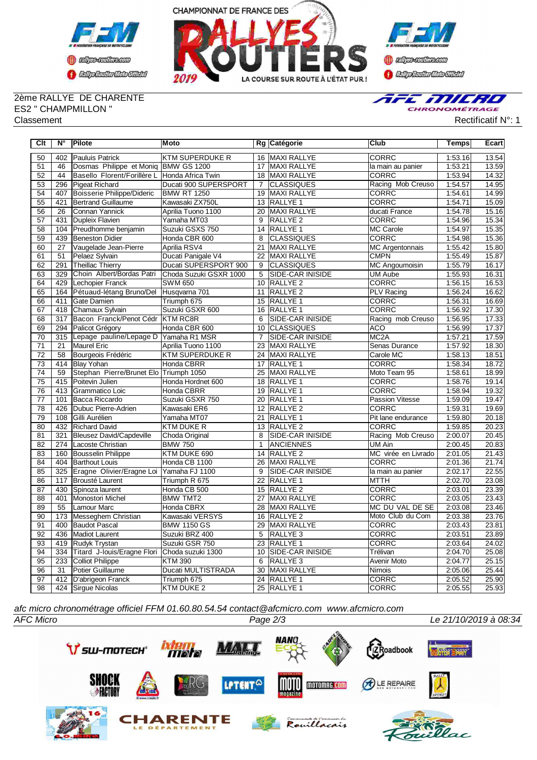



2ème RALLYE DE CHARENTE ES2 " CHAMPMILLON " Classement Rectificatif N°: 1



| Clt             | N°               | Pilote                                        | Moto                      |                 | Rg Catégorie            | <b>Club</b>            | <b>Temps</b> | Ecart |
|-----------------|------------------|-----------------------------------------------|---------------------------|-----------------|-------------------------|------------------------|--------------|-------|
| 50              | 402              | Pauluis Patrick                               | <b>KTM SUPERDUKE R</b>    | 16              | <b>MAXI RALLYE</b>      | <b>CORRC</b>           | 1:53.16      | 13.54 |
| 51              | 46               | Dosmas Philippe et Moniq BMW GS 1200          |                           | 17              | MAXI RALLYE             | la main au panier      | 1:53.21      | 13.59 |
| 52              | 44               | Basello Florent/Forillère L Honda Africa Twin |                           | 18              | MAXI RALLYE             | <b>CORRC</b>           | 1:53.94      | 14.32 |
| 53              | 296              | Pigeat Richard                                | Ducati 900 SUPERSPORT     | $\overline{7}$  | <b>CLASSIQUES</b>       | Racing Mob Creuso      | 1:54.57      | 14.95 |
| 54              | 407              | Boisserie Philippe/Dideric                    | <b>BMW RT 1250</b>        | 19              | MAXI RALLYE             | CORRC                  | 1:54.61      | 14.99 |
| 55              | 421              | Bertrand Guillaume                            | Kawasaki ZX750L           | 13              | <b>RALLYE 1</b>         | <b>CORRC</b>           | 1:54.71      | 15.09 |
| 56              | 26               | Connan Yannick                                | Aprilia Tuono 1100        | 20              | MAXI RALLYE             | ducati France          | 1:54.78      | 15.16 |
| 57              | 431              | Dupleix Flavien                               | Yamaha MT03               | 9               | RALLYE <sub>2</sub>     | CORRC                  | 1:54.96      | 15.34 |
| 58              | 104              | Preudhomme benjamin                           | Suzuki GSXS 750           | 14              | RALLYE <sub>1</sub>     | <b>MC Carole</b>       | 1:54.97      | 15.35 |
| 59              | 439              | <b>Beneston Didier</b>                        | Honda CBR 600             | 8               | <b>CLASSIQUES</b>       | <b>CORRC</b>           | 1:54.98      | 15.36 |
| 60              | 27               | Vaugelade Jean-Pierre                         | Aprilia RSV4              | $\overline{21}$ | <b>MAXI RALLYE</b>      | <b>MC Argentonnais</b> | 1:55.42      | 15.80 |
| 61              | 51               | Pelaez Sylvain                                | Ducati Panigale V4        | 22              | MAXI RALLYE             | <b>CMPN</b>            | 1:55.49      | 15.87 |
| 62              | 291              | Theillac Thierry                              | Ducati SUPERSPORT 900     | 9               | <b>CLASSIQUES</b>       | MC Angoumoisin         | 1:55.79      | 16.17 |
| 63              | 329              | Choin Albert/Bordas Patri                     | Choda Suzuki GSXR 1000    | 5               | SIDE-CAR INISIDE        | <b>UM Aube</b>         | 1:55.93      | 16.31 |
| 64              | 429              | Lechopier Franck                              | <b>SWM 650</b>            | 10              | RALLYE <sub>2</sub>     | <b>CORRC</b>           | 1:56.15      | 16.53 |
| 65              | 164              | Pétuaud-létang Bruno/Del                      | Husqvarna 701             | 11              | RALLYE <sub>2</sub>     | <b>PLV Racing</b>      | 1:56.24      | 16.62 |
| 66              | 411              | Gate Damien                                   | Triumph 675               | 15              | RALLYE 1                | CORRC                  | 1:56.31      | 16.69 |
| 67              | 418              | Chamaux Sylvain                               | Suzuki GSXR 600           | 16              | RALLYE <sub>1</sub>     | <b>CORRC</b>           | 1:56.92      | 17.30 |
| 68              | 317              | Bacon Franck/Penot Cédr                       | <b>KTM RC8R</b>           | 6               | <b>SIDE-CAR INISIDE</b> | Racing mob Creuso      | 1:56.95      | 17.33 |
| 69              | 294              | Palicot Grégory                               | Honda CBR 600             | 10              | <b>CLASSIQUES</b>       | <b>ACO</b>             | 1:56.99      | 17.37 |
| 70              | 315              | Lepage pauline/Lepage D Yamaha R1 MSR         |                           | $\overline{7}$  | SIDE-CAR INISIDE        | MC <sub>2</sub> A      | 1:57.21      | 17.59 |
| 71              | 21               | Maurel Eric                                   | Aprilia Tuono 1100        | 23              | <b>MAXI RALLYE</b>      | Senas Durance          | 1:57.92      | 18.30 |
| 72              | 58               | Bourgeois Frédéric                            | <b>KTM SUPERDUKE R</b>    | 24              | MAXI RALLYE             | Carole MC              | 1:58.13      | 18.51 |
| $\overline{73}$ | 414              | <b>Blay Yohan</b>                             | Honda CBRR                | 17              | RALLYE 1                | <b>CORRC</b>           | 1:58.34      | 18.72 |
| 74              | 59               | Stephan Pierre/Brunet Elo Triumph 1050        |                           | 25              | MAXI RALLYE             | Moto Team 95           | 1:58.61      | 18.99 |
| 75              | 415              | Poitevin Julien                               | Honda Hordnet 600         | 18              | RALLYE <sub>1</sub>     | CORRC                  | 1:58.76      | 19.14 |
| 76              | 413              | Grammatico Loic                               | <b>Honda CBRR</b>         | 19              | <b>RALLYE 1</b>         | <b>CORRC</b>           | 1:58.94      | 19.32 |
| $\overline{77}$ | 101              | Bacca Riccardo                                | Suzuki GSXR 750           | $\overline{20}$ | <b>RALLYE 1</b>         | <b>Passion Vitesse</b> | 1:59.09      | 19.47 |
| 78              | 426              | Dubuc Pierre-Adrien                           | Kawasaki ER6              | 12              | <b>RALLYE 2</b>         | <b>CORRC</b>           | 1:59.31      | 19.69 |
| 79              | 108              | Gilli Aurélien                                | Yamaha MT07               | $\overline{21}$ | <b>RALLYE 1</b>         | Pit lane endurance     | 1:59.80      | 20.18 |
| $\overline{80}$ | 432              | <b>Richard David</b>                          | <b>KTM DUKE R</b>         | 13              | <b>RALLYE 2</b>         | <b>CORRC</b>           | 1:59.85      | 20.23 |
| 81              | $\overline{321}$ | Bleusez David/Capdeville                      | Choda Original            | $\overline{8}$  | SIDE-CAR INISIDE        | Racing Mob Creuso      | 2:00.07      | 20.45 |
| 82              | 274              | Lacoste Christian                             | <b>BMW 750</b>            | $\mathbf{1}$    | <b>ANCIENNES</b>        | UM Ain                 | 2:00.45      | 20.83 |
| 83              | 160              | <b>Bousselin Philippe</b>                     | KTM DUKE 690              | 14              | RALLYE <sub>2</sub>     | MC virée en Livrado    | 2:01.05      | 21.43 |
| 84              | 404              | Barthout Louis                                | Honda CB 1100             | $\overline{26}$ | <b>MAXI RALLYE</b>      | <b>CORRC</b>           | 2:01.36      | 21.74 |
| 85              | 325              | Eragne Olivier/Eragne Loi                     | Yamaha FJ 1100            | 9               | <b>SIDE-CAR INISIDE</b> | la main au panier      | 2:02.17      | 22.55 |
| 86              | 117              | Brousté Laurent                               | Triumph R 675             | $\overline{22}$ | <b>RALLYE 1</b>         | <b>MTTH</b>            | 2:02.70      | 23.08 |
| 87              | 430              | Spinoza laurent                               | Honda CB 500              | 15              | RALLYE <sub>2</sub>     | <b>CORRC</b>           | 2:03.01      | 23.39 |
| 88              | 401              | Monostori Michel                              | <b>BMW TMT2</b>           | 27              | <b>MAXI RALLYE</b>      | <b>CORRC</b>           | 2:03.05      | 23.43 |
| 89              | 55               | Lamour Marc                                   | Honda CBRX                | 28              | <b>MAXI RALLYE</b>      | MC DU VAL DE SE        | 2:03.08      | 23.46 |
| 90              | 173              | Messeghem Christian                           | Kawasaki VERSYS           | 16              | RALLYE <sub>2</sub>     | Moto Club du Com       | 2:03.38      | 23.76 |
| 91              | 400              | Baudot Pascal                                 | <b>BMW 1150 GS</b>        | 29              | <b>MAXI RALLYE</b>      | <b>CORRC</b>           | 2:03.43      | 23.81 |
| 92              | 436              | Madiot Laurent                                | Suzuki BRZ 400            | 5               | RALLYE <sub>3</sub>     | <b>CORRC</b>           | 2:03.51      | 23.89 |
| 93              | 419              | Rudyk Trystan                                 | Suzuki GSR 750            | 23              | RALLYE 1                | CORRC                  | 2:03.64      | 24.02 |
| 94              | 334              | Titard J-louis/Eragne Flori Choda suzuki 1300 |                           | 10              | <b>SIDE-CAR INISIDE</b> | Trélivan               | 2:04.70      | 25.08 |
| 95              | 233              | <b>Colliot Philippe</b>                       | <b>KTM 390</b>            | 6               | RALLYE <sub>3</sub>     | Avenir Moto            | 2:04.77      | 25.15 |
| 96              | 31               | Potier Guillaume                              | <b>Ducati MULTISTRADA</b> | 30              | MAXI RALLYE             | Nimois                 | 2:05.06      | 25.44 |
| 97              | 412              | D'abrigeon Franck                             | Triumph 675               |                 | 24 RALLYE 1             | <b>CORRC</b>           | 2:05.52      | 25.90 |
| $\overline{98}$ |                  | 424 Sirgue Nicolas                            | <b>KTM DUKE 2</b>         |                 | 25 RALLYE 1             | <b>CORRC</b>           | 2:05.55      | 25.93 |

*afc micro chronométrage officiel FFM 01.60.80.54.54 contact@afcmicro.com www.afcmicro.com*